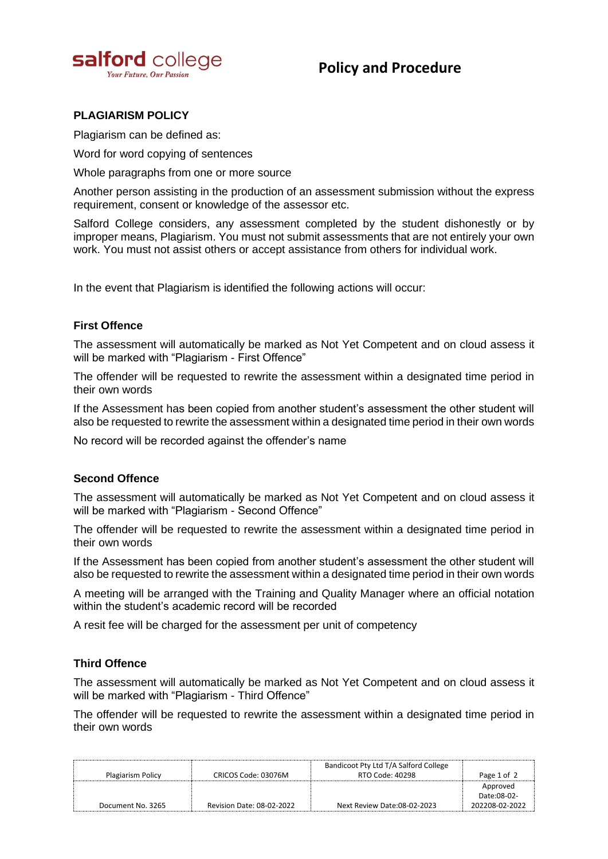

# **Policy and Procedure**

## **PLAGIARISM POLICY**

Plagiarism can be defined as:

Word for word copying of sentences

Whole paragraphs from one or more source

Another person assisting in the production of an assessment submission without the express requirement, consent or knowledge of the assessor etc.

Salford College considers, any assessment completed by the student dishonestly or by improper means, Plagiarism. You must not submit assessments that are not entirely your own work. You must not assist others or accept assistance from others for individual work.

In the event that Plagiarism is identified the following actions will occur:

## **First Offence**

The assessment will automatically be marked as Not Yet Competent and on cloud assess it will be marked with "Plagiarism - First Offence"

The offender will be requested to rewrite the assessment within a designated time period in their own words

If the Assessment has been copied from another student's assessment the other student will also be requested to rewrite the assessment within a designated time period in their own words

No record will be recorded against the offender's name

## **Second Offence**

The assessment will automatically be marked as Not Yet Competent and on cloud assess it will be marked with "Plagiarism - Second Offence"

The offender will be requested to rewrite the assessment within a designated time period in their own words

If the Assessment has been copied from another student's assessment the other student will also be requested to rewrite the assessment within a designated time period in their own words

A meeting will be arranged with the Training and Quality Manager where an official notation within the student's academic record will be recorded

A resit fee will be charged for the assessment per unit of competency

#### **Third Offence**

The assessment will automatically be marked as Not Yet Competent and on cloud assess it will be marked with "Plagiarism - Third Offence"

The offender will be requested to rewrite the assessment within a designated time period in their own words

| Plagiarism Policy | CRICOS Code: 03076M       | Bandicoot Pty Ltd T/A Salford College<br>RTO Code: 40298 | Page 1 of 2    |
|-------------------|---------------------------|----------------------------------------------------------|----------------|
|                   |                           |                                                          | Approved       |
|                   |                           |                                                          | Date:08-02-    |
| Document No. 3265 | Revision Date: 08-02-2022 | Next Review Date:08-02-2023                              | 202208-02-2022 |